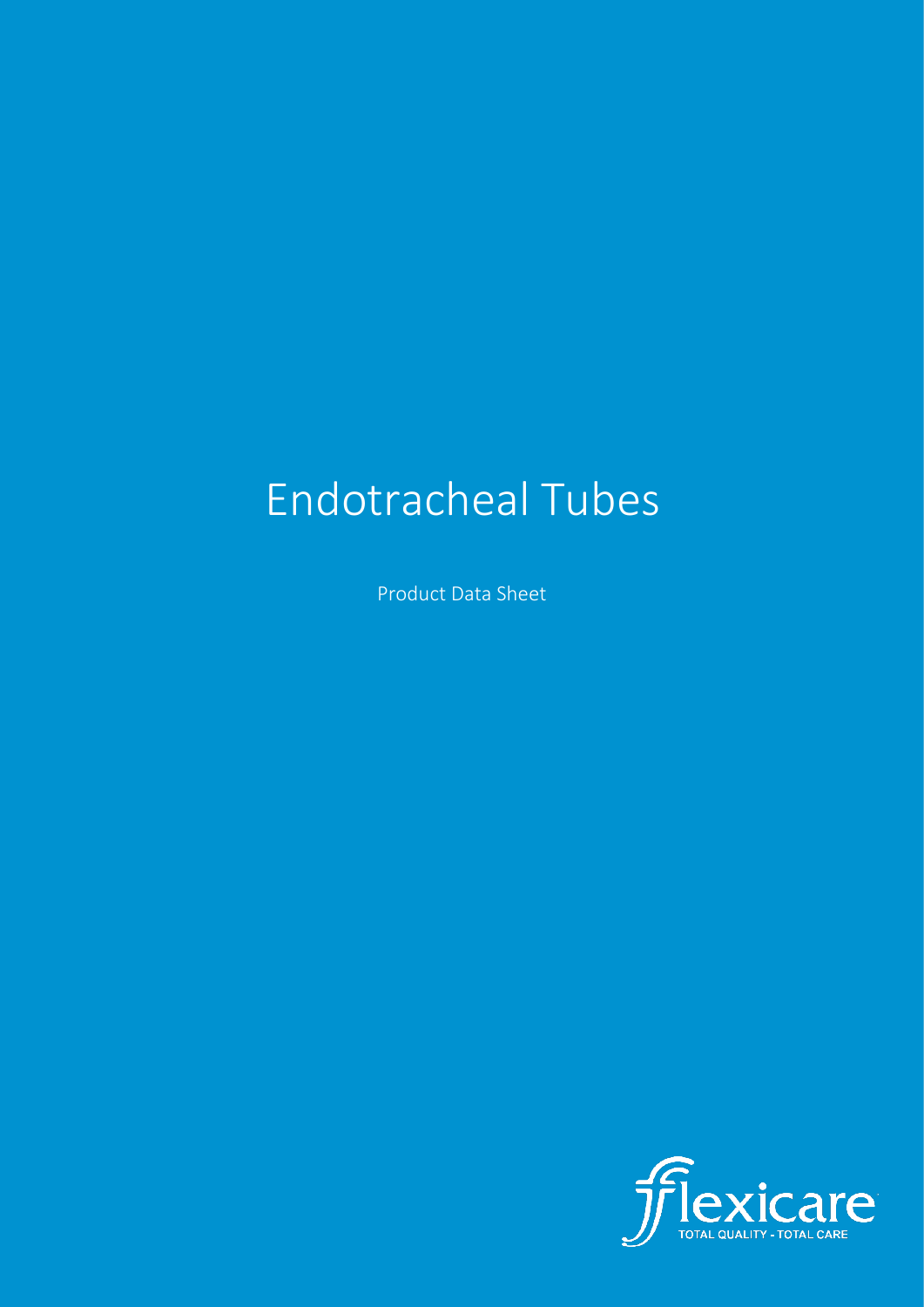# Endotracheal Tubes

Product Data Sheet

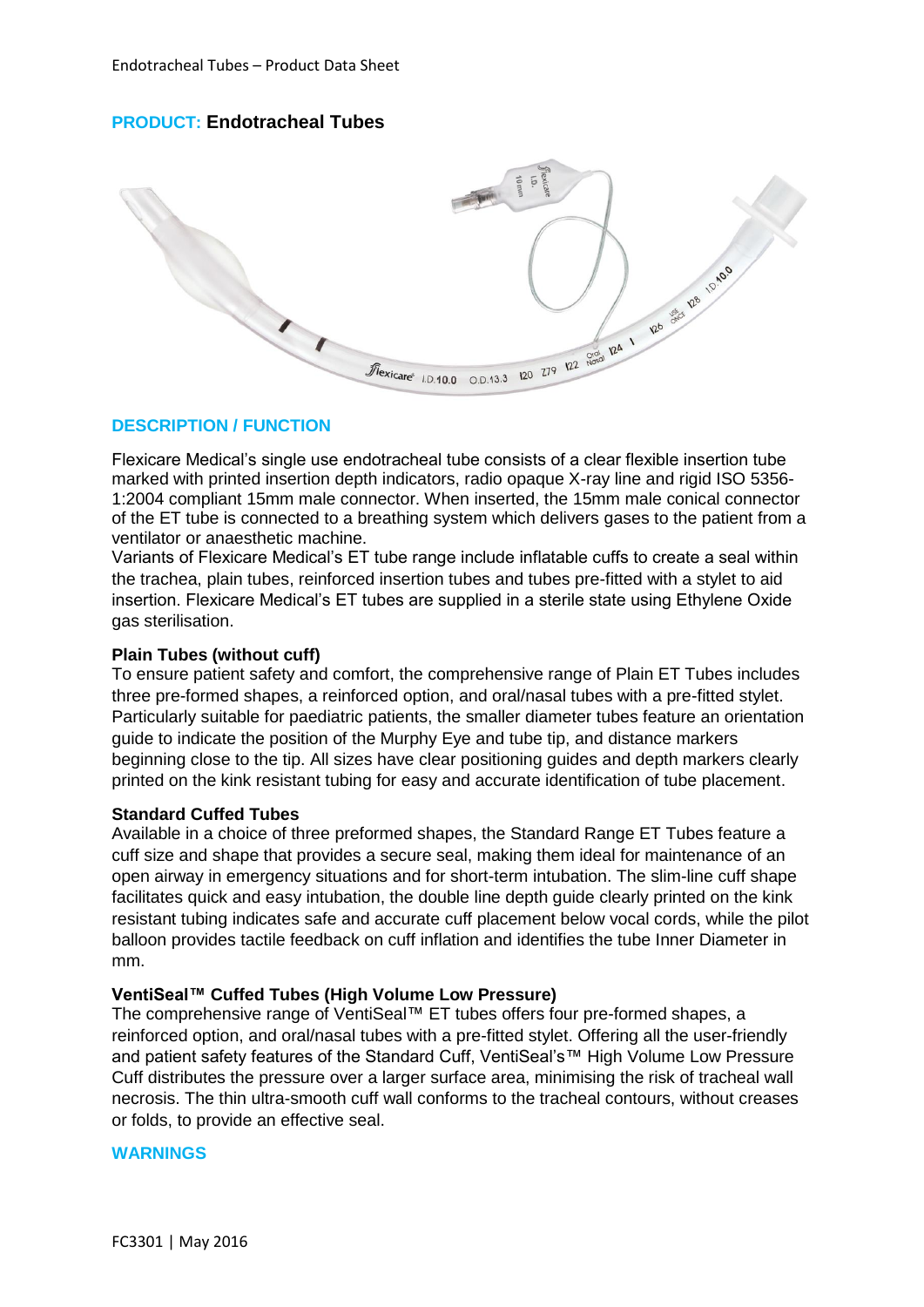# **PRODUCT: Endotracheal Tubes**



# **DESCRIPTION / FUNCTION**

Flexicare Medical's single use endotracheal tube consists of a clear flexible insertion tube marked with printed insertion depth indicators, radio opaque X-ray line and rigid ISO 5356- 1:2004 compliant 15mm male connector. When inserted, the 15mm male conical connector of the ET tube is connected to a breathing system which delivers gases to the patient from a ventilator or anaesthetic machine.

Variants of Flexicare Medical's ET tube range include inflatable cuffs to create a seal within the trachea, plain tubes, reinforced insertion tubes and tubes pre-fitted with a stylet to aid insertion. Flexicare Medical's ET tubes are supplied in a sterile state using Ethylene Oxide gas sterilisation.

# **Plain Tubes (without cuff)**

To ensure patient safety and comfort, the comprehensive range of Plain ET Tubes includes three pre-formed shapes, a reinforced option, and oral/nasal tubes with a pre-fitted stylet. Particularly suitable for paediatric patients, the smaller diameter tubes feature an orientation guide to indicate the position of the Murphy Eye and tube tip, and distance markers beginning close to the tip. All sizes have clear positioning guides and depth markers clearly printed on the kink resistant tubing for easy and accurate identification of tube placement.

#### **Standard Cuffed Tubes**

Available in a choice of three preformed shapes, the Standard Range ET Tubes feature a cuff size and shape that provides a secure seal, making them ideal for maintenance of an open airway in emergency situations and for short-term intubation. The slim-line cuff shape facilitates quick and easy intubation, the double line depth guide clearly printed on the kink resistant tubing indicates safe and accurate cuff placement below vocal cords, while the pilot balloon provides tactile feedback on cuff inflation and identifies the tube Inner Diameter in mm.

### **VentiSeal™ Cuffed Tubes (High Volume Low Pressure)**

The comprehensive range of VentiSeal™ ET tubes offers four pre-formed shapes, a reinforced option, and oral/nasal tubes with a pre-fitted stylet. Offering all the user-friendly and patient safety features of the Standard Cuff, VentiSeal's™ High Volume Low Pressure Cuff distributes the pressure over a larger surface area, minimising the risk of tracheal wall necrosis. The thin ultra-smooth cuff wall conforms to the tracheal contours, without creases or folds, to provide an effective seal.

#### **WARNINGS**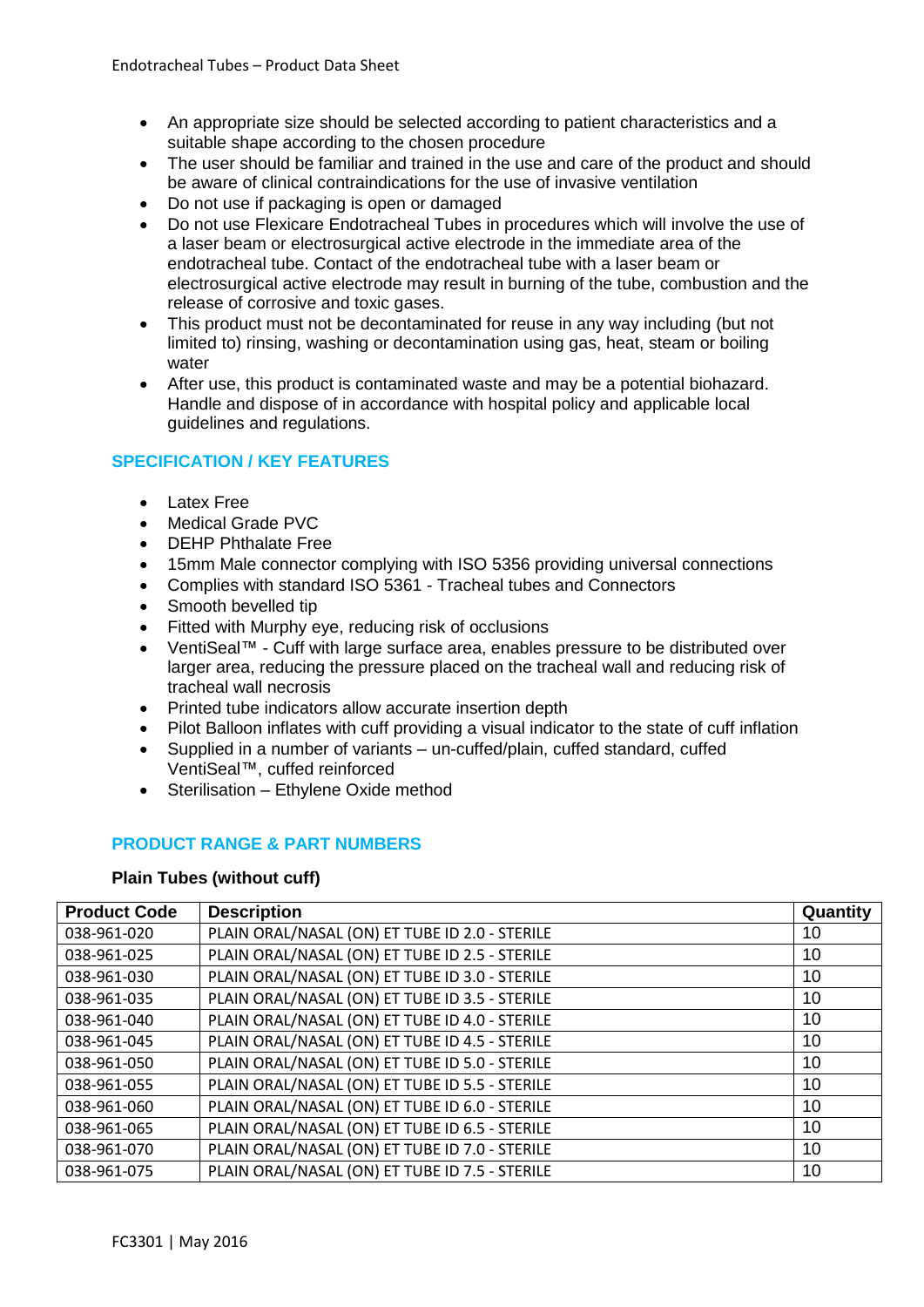- An appropriate size should be selected according to patient characteristics and a suitable shape according to the chosen procedure
- The user should be familiar and trained in the use and care of the product and should be aware of clinical contraindications for the use of invasive ventilation
- Do not use if packaging is open or damaged
- Do not use Flexicare Endotracheal Tubes in procedures which will involve the use of a laser beam or electrosurgical active electrode in the immediate area of the endotracheal tube. Contact of the endotracheal tube with a laser beam or electrosurgical active electrode may result in burning of the tube, combustion and the release of corrosive and toxic gases.
- This product must not be decontaminated for reuse in any way including (but not limited to) rinsing, washing or decontamination using gas, heat, steam or boiling water
- After use, this product is contaminated waste and may be a potential biohazard. Handle and dispose of in accordance with hospital policy and applicable local guidelines and regulations.

# **SPECIFICATION / KEY FEATURES**

- Latex Free
- Medical Grade PVC
- **DEHP Phthalate Free**
- 15mm Male connector complying with ISO 5356 providing universal connections
- Complies with standard ISO 5361 Tracheal tubes and Connectors
- Smooth bevelled tip
- Fitted with Murphy eye, reducing risk of occlusions
- VentiSeal™ Cuff with large surface area, enables pressure to be distributed over larger area, reducing the pressure placed on the tracheal wall and reducing risk of tracheal wall necrosis
- Printed tube indicators allow accurate insertion depth
- Pilot Balloon inflates with cuff providing a visual indicator to the state of cuff inflation
- Supplied in a number of variants un-cuffed/plain, cuffed standard, cuffed VentiSeal™, cuffed reinforced
- Sterilisation Ethylene Oxide method

# **PRODUCT RANGE & PART NUMBERS**

#### **Plain Tubes (without cuff)**

| <b>Product Code</b> | <b>Description</b>                             | Quantity |
|---------------------|------------------------------------------------|----------|
| 038-961-020         | PLAIN ORAL/NASAL (ON) ET TUBE ID 2.0 - STERILE | 10       |
| 038-961-025         | PLAIN ORAL/NASAL (ON) ET TUBE ID 2.5 - STERILE | 10       |
| 038-961-030         | PLAIN ORAL/NASAL (ON) ET TUBE ID 3.0 - STERILE | 10       |
| 038-961-035         | PLAIN ORAL/NASAL (ON) ET TUBE ID 3.5 - STERILE | 10       |
| 038-961-040         | PLAIN ORAL/NASAL (ON) ET TUBE ID 4.0 - STERILE | 10       |
| 038-961-045         | PLAIN ORAL/NASAL (ON) ET TUBE ID 4.5 - STERILE | 10       |
| 038-961-050         | PLAIN ORAL/NASAL (ON) ET TUBE ID 5.0 - STERILE | 10       |
| 038-961-055         | PLAIN ORAL/NASAL (ON) ET TUBE ID 5.5 - STERILE | 10       |
| 038-961-060         | PLAIN ORAL/NASAL (ON) ET TUBE ID 6.0 - STERILE | 10       |
| 038-961-065         | PLAIN ORAL/NASAL (ON) ET TUBE ID 6.5 - STERILE | 10       |
| 038-961-070         | PLAIN ORAL/NASAL (ON) ET TUBE ID 7.0 - STERILE | 10       |
| 038-961-075         | PLAIN ORAL/NASAL (ON) ET TUBE ID 7.5 - STERILE | 10       |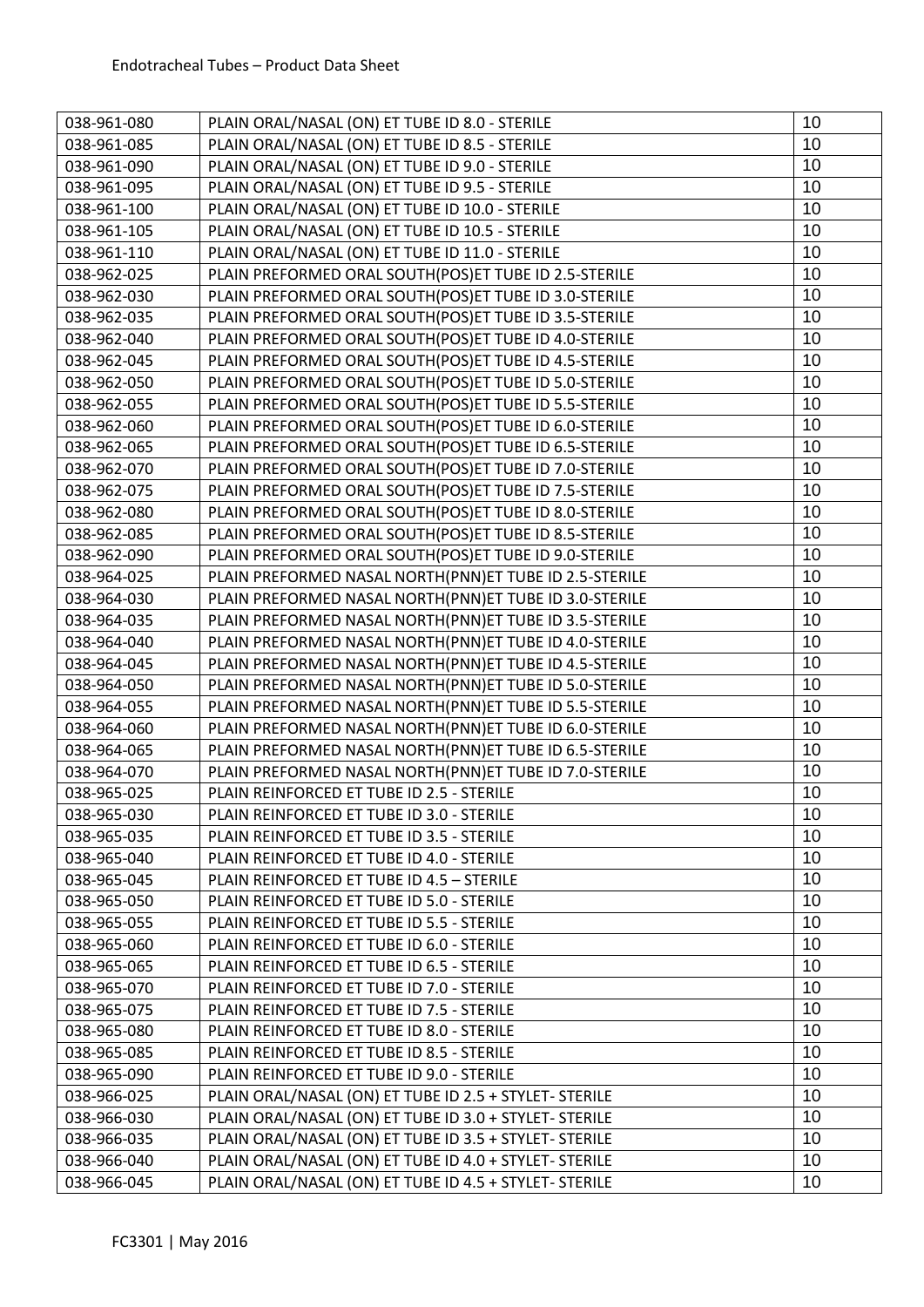| 038-961-080 | PLAIN ORAL/NASAL (ON) ET TUBE ID 8.0 - STERILE         | 10 |
|-------------|--------------------------------------------------------|----|
| 038-961-085 | PLAIN ORAL/NASAL (ON) ET TUBE ID 8.5 - STERILE         | 10 |
| 038-961-090 | PLAIN ORAL/NASAL (ON) ET TUBE ID 9.0 - STERILE         | 10 |
| 038-961-095 | PLAIN ORAL/NASAL (ON) ET TUBE ID 9.5 - STERILE         | 10 |
| 038-961-100 | PLAIN ORAL/NASAL (ON) ET TUBE ID 10.0 - STERILE        | 10 |
| 038-961-105 | PLAIN ORAL/NASAL (ON) ET TUBE ID 10.5 - STERILE        | 10 |
| 038-961-110 | PLAIN ORAL/NASAL (ON) ET TUBE ID 11.0 - STERILE        | 10 |
| 038-962-025 | PLAIN PREFORMED ORAL SOUTH(POS)ET TUBE ID 2.5-STERILE  | 10 |
| 038-962-030 | PLAIN PREFORMED ORAL SOUTH(POS)ET TUBE ID 3.0-STERILE  | 10 |
| 038-962-035 | PLAIN PREFORMED ORAL SOUTH(POS)ET TUBE ID 3.5-STERILE  | 10 |
| 038-962-040 | PLAIN PREFORMED ORAL SOUTH(POS)ET TUBE ID 4.0-STERILE  | 10 |
| 038-962-045 | PLAIN PREFORMED ORAL SOUTH(POS)ET TUBE ID 4.5-STERILE  | 10 |
| 038-962-050 | PLAIN PREFORMED ORAL SOUTH(POS)ET TUBE ID 5.0-STERILE  | 10 |
| 038-962-055 | PLAIN PREFORMED ORAL SOUTH(POS)ET TUBE ID 5.5-STERILE  | 10 |
| 038-962-060 | PLAIN PREFORMED ORAL SOUTH(POS)ET TUBE ID 6.0-STERILE  | 10 |
| 038-962-065 | PLAIN PREFORMED ORAL SOUTH(POS)ET TUBE ID 6.5-STERILE  | 10 |
| 038-962-070 | PLAIN PREFORMED ORAL SOUTH(POS)ET TUBE ID 7.0-STERILE  | 10 |
| 038-962-075 | PLAIN PREFORMED ORAL SOUTH(POS)ET TUBE ID 7.5-STERILE  | 10 |
| 038-962-080 | PLAIN PREFORMED ORAL SOUTH(POS)ET TUBE ID 8.0-STERILE  | 10 |
| 038-962-085 | PLAIN PREFORMED ORAL SOUTH(POS)ET TUBE ID 8.5-STERILE  | 10 |
| 038-962-090 | PLAIN PREFORMED ORAL SOUTH(POS)ET TUBE ID 9.0-STERILE  | 10 |
| 038-964-025 | PLAIN PREFORMED NASAL NORTH(PNN)ET TUBE ID 2.5-STERILE | 10 |
| 038-964-030 | PLAIN PREFORMED NASAL NORTH(PNN)ET TUBE ID 3.0-STERILE | 10 |
| 038-964-035 | PLAIN PREFORMED NASAL NORTH(PNN)ET TUBE ID 3.5-STERILE | 10 |
| 038-964-040 | PLAIN PREFORMED NASAL NORTH(PNN)ET TUBE ID 4.0-STERILE | 10 |
| 038-964-045 | PLAIN PREFORMED NASAL NORTH(PNN)ET TUBE ID 4.5-STERILE | 10 |
| 038-964-050 | PLAIN PREFORMED NASAL NORTH(PNN)ET TUBE ID 5.0-STERILE | 10 |
| 038-964-055 | PLAIN PREFORMED NASAL NORTH(PNN)ET TUBE ID 5.5-STERILE | 10 |
| 038-964-060 | PLAIN PREFORMED NASAL NORTH(PNN)ET TUBE ID 6.0-STERILE | 10 |
| 038-964-065 | PLAIN PREFORMED NASAL NORTH(PNN)ET TUBE ID 6.5-STERILE | 10 |
| 038-964-070 | PLAIN PREFORMED NASAL NORTH(PNN)ET TUBE ID 7.0-STERILE | 10 |
| 038-965-025 | PLAIN REINFORCED ET TUBE ID 2.5 - STERILE              | 10 |
| 038-965-030 | PLAIN REINFORCED ET TUBE ID 3.0 - STERILE              | 10 |
| 038-965-035 | PLAIN REINFORCED ET TUBE ID 3.5 - STERILE              | 10 |
| 038-965-040 | PLAIN REINFORCED ET TUBE ID 4.0 - STERILE              | 10 |
| 038-965-045 | PLAIN REINFORCED ET TUBE ID 4.5 - STERILE              | 10 |
| 038-965-050 | PLAIN REINFORCED ET TUBE ID 5.0 - STERILE              | 10 |
| 038-965-055 | PLAIN REINFORCED ET TUBE ID 5.5 - STERILE              | 10 |
| 038-965-060 | PLAIN REINFORCED ET TUBE ID 6.0 - STERILE              | 10 |
| 038-965-065 | PLAIN REINFORCED ET TUBE ID 6.5 - STERILE              | 10 |
| 038-965-070 | PLAIN REINFORCED ET TUBE ID 7.0 - STERILE              | 10 |
| 038-965-075 | PLAIN REINFORCED ET TUBE ID 7.5 - STERILE              | 10 |
| 038-965-080 | PLAIN REINFORCED ET TUBE ID 8.0 - STERILE              | 10 |
| 038-965-085 | PLAIN REINFORCED ET TUBE ID 8.5 - STERILE              | 10 |
| 038-965-090 | PLAIN REINFORCED ET TUBE ID 9.0 - STERILE              | 10 |
| 038-966-025 | PLAIN ORAL/NASAL (ON) ET TUBE ID 2.5 + STYLET- STERILE | 10 |
| 038-966-030 | PLAIN ORAL/NASAL (ON) ET TUBE ID 3.0 + STYLET- STERILE | 10 |
| 038-966-035 | PLAIN ORAL/NASAL (ON) ET TUBE ID 3.5 + STYLET- STERILE | 10 |
| 038-966-040 | PLAIN ORAL/NASAL (ON) ET TUBE ID 4.0 + STYLET- STERILE | 10 |
| 038-966-045 | PLAIN ORAL/NASAL (ON) ET TUBE ID 4.5 + STYLET- STERILE | 10 |
|             |                                                        |    |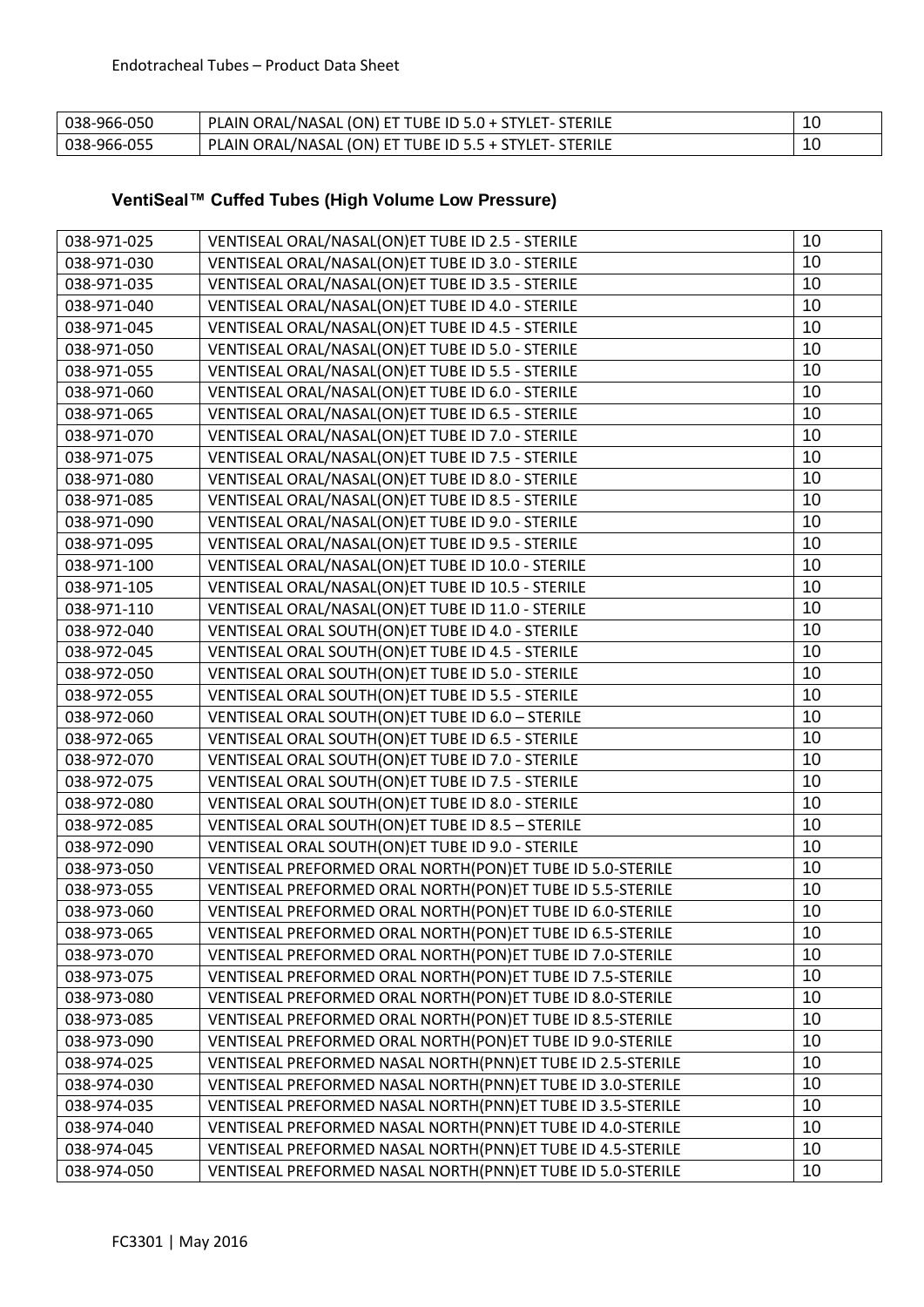| 038-966-050 | PLAIN ORAL/NASAL (ON) ET TUBE ID 5.0 + STYLET- STERILE | 10<br>៲៶ |
|-------------|--------------------------------------------------------|----------|
| 038-966-055 | PLAIN ORAL/NASAL (ON) ET TUBE ID 5.5 + STYLET- STERILE | 10       |

# **VentiSeal™ Cuffed Tubes (High Volume Low Pressure)**

| 038-971-025 | VENTISEAL ORAL/NASAL(ON)ET TUBE ID 2.5 - STERILE           | 10 |
|-------------|------------------------------------------------------------|----|
| 038-971-030 | VENTISEAL ORAL/NASAL(ON)ET TUBE ID 3.0 - STERILE           | 10 |
| 038-971-035 | VENTISEAL ORAL/NASAL(ON)ET TUBE ID 3.5 - STERILE           |    |
| 038-971-040 | VENTISEAL ORAL/NASAL(ON)ET TUBE ID 4.0 - STERILE           |    |
| 038-971-045 | VENTISEAL ORAL/NASAL(ON)ET TUBE ID 4.5 - STERILE           |    |
| 038-971-050 | VENTISEAL ORAL/NASAL(ON)ET TUBE ID 5.0 - STERILE           |    |
| 038-971-055 | VENTISEAL ORAL/NASAL(ON)ET TUBE ID 5.5 - STERILE           |    |
| 038-971-060 | VENTISEAL ORAL/NASAL(ON)ET TUBE ID 6.0 - STERILE           |    |
| 038-971-065 | VENTISEAL ORAL/NASAL(ON)ET TUBE ID 6.5 - STERILE           | 10 |
| 038-971-070 | VENTISEAL ORAL/NASAL(ON)ET TUBE ID 7.0 - STERILE           | 10 |
| 038-971-075 | VENTISEAL ORAL/NASAL(ON)ET TUBE ID 7.5 - STERILE           | 10 |
| 038-971-080 | VENTISEAL ORAL/NASAL(ON)ET TUBE ID 8.0 - STERILE           | 10 |
| 038-971-085 | VENTISEAL ORAL/NASAL(ON)ET TUBE ID 8.5 - STERILE           | 10 |
| 038-971-090 | VENTISEAL ORAL/NASAL(ON)ET TUBE ID 9.0 - STERILE           | 10 |
| 038-971-095 | VENTISEAL ORAL/NASAL(ON)ET TUBE ID 9.5 - STERILE           | 10 |
| 038-971-100 | VENTISEAL ORAL/NASAL(ON)ET TUBE ID 10.0 - STERILE          | 10 |
| 038-971-105 | VENTISEAL ORAL/NASAL(ON)ET TUBE ID 10.5 - STERILE          | 10 |
| 038-971-110 | VENTISEAL ORAL/NASAL(ON)ET TUBE ID 11.0 - STERILE          | 10 |
| 038-972-040 | VENTISEAL ORAL SOUTH(ON)ET TUBE ID 4.0 - STERILE           | 10 |
| 038-972-045 | VENTISEAL ORAL SOUTH(ON)ET TUBE ID 4.5 - STERILE           | 10 |
| 038-972-050 | VENTISEAL ORAL SOUTH(ON)ET TUBE ID 5.0 - STERILE           | 10 |
| 038-972-055 | VENTISEAL ORAL SOUTH(ON)ET TUBE ID 5.5 - STERILE           | 10 |
| 038-972-060 | VENTISEAL ORAL SOUTH(ON)ET TUBE ID 6.0 - STERILE           | 10 |
| 038-972-065 | VENTISEAL ORAL SOUTH(ON)ET TUBE ID 6.5 - STERILE           | 10 |
| 038-972-070 | VENTISEAL ORAL SOUTH(ON)ET TUBE ID 7.0 - STERILE           | 10 |
| 038-972-075 | VENTISEAL ORAL SOUTH(ON)ET TUBE ID 7.5 - STERILE           | 10 |
| 038-972-080 | VENTISEAL ORAL SOUTH(ON)ET TUBE ID 8.0 - STERILE           | 10 |
| 038-972-085 | VENTISEAL ORAL SOUTH(ON)ET TUBE ID 8.5 - STERILE           | 10 |
| 038-972-090 | VENTISEAL ORAL SOUTH(ON)ET TUBE ID 9.0 - STERILE           | 10 |
| 038-973-050 | VENTISEAL PREFORMED ORAL NORTH(PON)ET TUBE ID 5.0-STERILE  | 10 |
| 038-973-055 | VENTISEAL PREFORMED ORAL NORTH(PON)ET TUBE ID 5.5-STERILE  | 10 |
| 038-973-060 | VENTISEAL PREFORMED ORAL NORTH(PON)ET TUBE ID 6.0-STERILE  | 10 |
| 038-973-065 | VENTISEAL PREFORMED ORAL NORTH(PON)ET TUBE ID 6.5-STERILE  | 10 |
| 038-973-070 | VENTISEAL PREFORMED ORAL NORTH(PON)ET TUBE ID 7.0-STERILE  | 10 |
| 038-973-075 | VENTISEAL PREFORMED ORAL NORTH(PON)ET TUBE ID 7.5-STERILE  | 10 |
| 038-973-080 | VENTISEAL PREFORMED ORAL NORTH(PON)ET TUBE ID 8.0-STERILE  | 10 |
| 038-973-085 | VENTISEAL PREFORMED ORAL NORTH(PON)ET TUBE ID 8.5-STERILE  | 10 |
| 038-973-090 | VENTISEAL PREFORMED ORAL NORTH(PON)ET TUBE ID 9.0-STERILE  | 10 |
| 038-974-025 | VENTISEAL PREFORMED NASAL NORTH(PNN)ET TUBE ID 2.5-STERILE | 10 |
| 038-974-030 | VENTISEAL PREFORMED NASAL NORTH(PNN)ET TUBE ID 3.0-STERILE | 10 |
| 038-974-035 | VENTISEAL PREFORMED NASAL NORTH(PNN)ET TUBE ID 3.5-STERILE | 10 |
| 038-974-040 | VENTISEAL PREFORMED NASAL NORTH(PNN)ET TUBE ID 4.0-STERILE | 10 |
| 038-974-045 | VENTISEAL PREFORMED NASAL NORTH(PNN)ET TUBE ID 4.5-STERILE | 10 |
| 038-974-050 | VENTISEAL PREFORMED NASAL NORTH(PNN)ET TUBE ID 5.0-STERILE | 10 |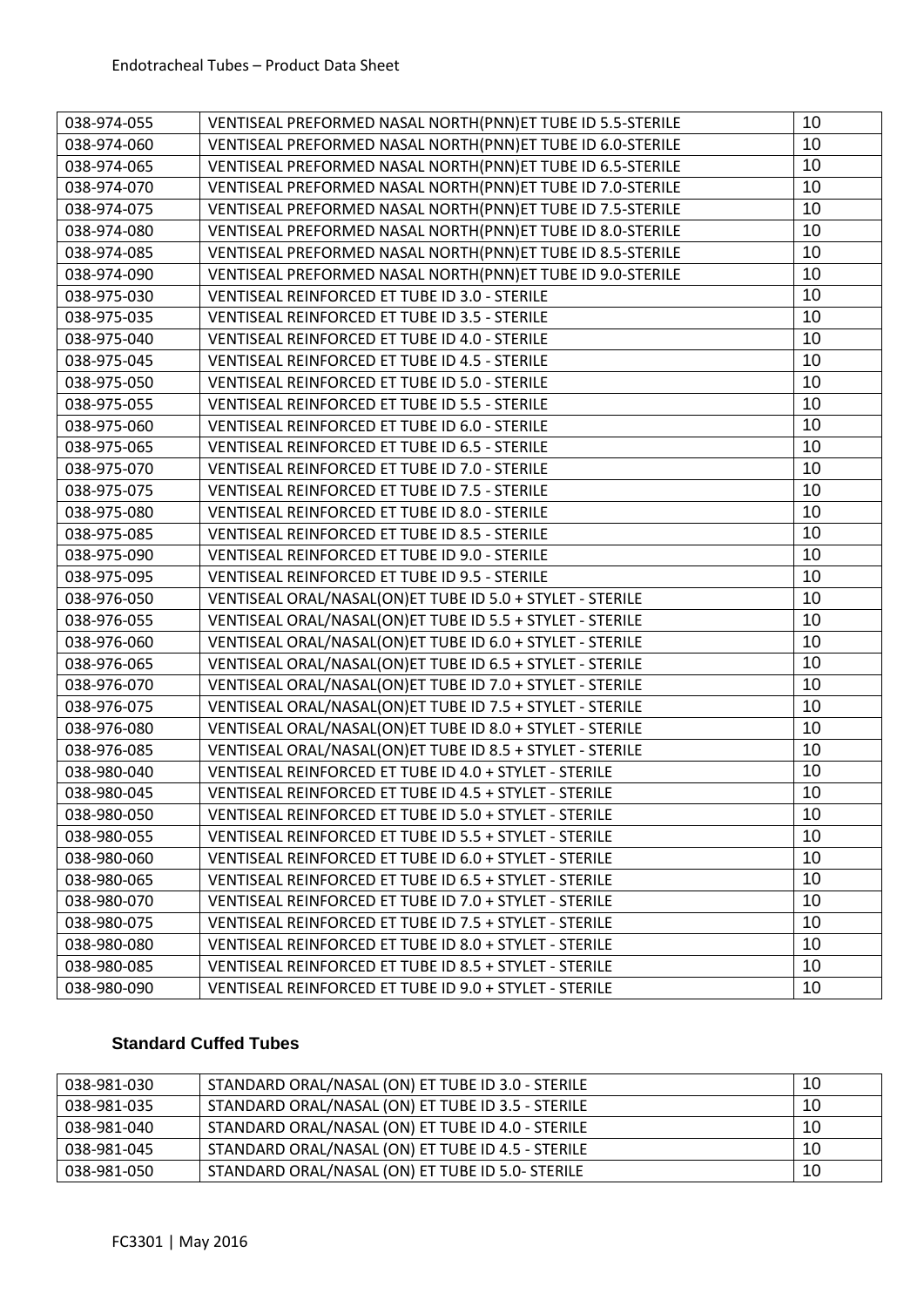| 038-974-055 | VENTISEAL PREFORMED NASAL NORTH(PNN)ET TUBE ID 5.5-STERILE | 10 |
|-------------|------------------------------------------------------------|----|
| 038-974-060 | VENTISEAL PREFORMED NASAL NORTH(PNN)ET TUBE ID 6.0-STERILE | 10 |
| 038-974-065 | VENTISEAL PREFORMED NASAL NORTH(PNN)ET TUBE ID 6.5-STERILE | 10 |
| 038-974-070 | VENTISEAL PREFORMED NASAL NORTH(PNN)ET TUBE ID 7.0-STERILE | 10 |
| 038-974-075 | VENTISEAL PREFORMED NASAL NORTH(PNN)ET TUBE ID 7.5-STERILE | 10 |
| 038-974-080 | VENTISEAL PREFORMED NASAL NORTH(PNN)ET TUBE ID 8.0-STERILE | 10 |
| 038-974-085 | VENTISEAL PREFORMED NASAL NORTH(PNN)ET TUBE ID 8.5-STERILE | 10 |
| 038-974-090 | VENTISEAL PREFORMED NASAL NORTH(PNN)ET TUBE ID 9.0-STERILE | 10 |
| 038-975-030 | VENTISEAL REINFORCED ET TUBE ID 3.0 - STERILE              | 10 |
| 038-975-035 | VENTISEAL REINFORCED ET TUBE ID 3.5 - STERILE              | 10 |
| 038-975-040 | VENTISEAL REINFORCED ET TUBE ID 4.0 - STERILE              | 10 |
| 038-975-045 | VENTISEAL REINFORCED ET TUBE ID 4.5 - STERILE              | 10 |
| 038-975-050 | VENTISEAL REINFORCED ET TUBE ID 5.0 - STERILE              | 10 |
| 038-975-055 | VENTISEAL REINFORCED ET TUBE ID 5.5 - STERILE              | 10 |
| 038-975-060 | VENTISEAL REINFORCED ET TUBE ID 6.0 - STERILE              | 10 |
| 038-975-065 | VENTISEAL REINFORCED ET TUBE ID 6.5 - STERILE              | 10 |
| 038-975-070 | VENTISEAL REINFORCED ET TUBE ID 7.0 - STERILE              | 10 |
| 038-975-075 | VENTISEAL REINFORCED ET TUBE ID 7.5 - STERILE              | 10 |
| 038-975-080 | VENTISEAL REINFORCED ET TUBE ID 8.0 - STERILE              | 10 |
| 038-975-085 | VENTISEAL REINFORCED ET TUBE ID 8.5 - STERILE              | 10 |
| 038-975-090 | VENTISEAL REINFORCED ET TUBE ID 9.0 - STERILE              | 10 |
| 038-975-095 | VENTISEAL REINFORCED ET TUBE ID 9.5 - STERILE              | 10 |
| 038-976-050 | VENTISEAL ORAL/NASAL(ON)ET TUBE ID 5.0 + STYLET - STERILE  | 10 |
| 038-976-055 | VENTISEAL ORAL/NASAL(ON)ET TUBE ID 5.5 + STYLET - STERILE  | 10 |
| 038-976-060 | VENTISEAL ORAL/NASAL(ON)ET TUBE ID 6.0 + STYLET - STERILE  | 10 |
| 038-976-065 | VENTISEAL ORAL/NASAL(ON)ET TUBE ID 6.5 + STYLET - STERILE  | 10 |
| 038-976-070 | VENTISEAL ORAL/NASAL(ON)ET TUBE ID 7.0 + STYLET - STERILE  | 10 |
| 038-976-075 | VENTISEAL ORAL/NASAL(ON)ET TUBE ID 7.5 + STYLET - STERILE  | 10 |
| 038-976-080 | VENTISEAL ORAL/NASAL(ON)ET TUBE ID 8.0 + STYLET - STERILE  | 10 |
| 038-976-085 | VENTISEAL ORAL/NASAL(ON)ET TUBE ID 8.5 + STYLET - STERILE  | 10 |
| 038-980-040 | VENTISEAL REINFORCED ET TUBE ID 4.0 + STYLET - STERILE     | 10 |
| 038-980-045 | VENTISEAL REINFORCED ET TUBE ID 4.5 + STYLET - STERILE     | 10 |
| 038-980-050 | VENTISEAL REINFORCED ET TUBE ID 5.0 + STYLET - STERILE     | 10 |
| 038-980-055 | VENTISEAL REINFORCED ET TUBE ID 5.5 + STYLET - STERILE     | 10 |
| 038-980-060 | VENTISEAL REINFORCED ET TUBE ID 6.0 + STYLET - STERILE     | 10 |
| 038-980-065 | VENTISEAL REINFORCED ET TUBE ID 6.5 + STYLET - STERILE     | 10 |
| 038-980-070 | VENTISEAL REINFORCED ET TUBE ID 7.0 + STYLET - STERILE     | 10 |
| 038-980-075 | VENTISEAL REINFORCED ET TUBE ID 7.5 + STYLET - STERILE     | 10 |
| 038-980-080 | VENTISEAL REINFORCED ET TUBE ID 8.0 + STYLET - STERILE     | 10 |
| 038-980-085 | VENTISEAL REINFORCED ET TUBE ID 8.5 + STYLET - STERILE     | 10 |
| 038-980-090 | VENTISEAL REINFORCED ET TUBE ID 9.0 + STYLET - STERILE     | 10 |

# **Standard Cuffed Tubes**

| 038-981-030 | STANDARD ORAL/NASAL (ON) ET TUBE ID 3.0 - STERILE | 10 |
|-------------|---------------------------------------------------|----|
| 038-981-035 | STANDARD ORAL/NASAL (ON) ET TUBE ID 3.5 - STERILE | 10 |
| 038-981-040 | STANDARD ORAL/NASAL (ON) ET TUBE ID 4.0 - STERILE | 10 |
| 038-981-045 | STANDARD ORAL/NASAL (ON) ET TUBE ID 4.5 - STERILE | 10 |
| 038-981-050 | STANDARD ORAL/NASAL (ON) ET TUBE ID 5.0- STERILE  | 10 |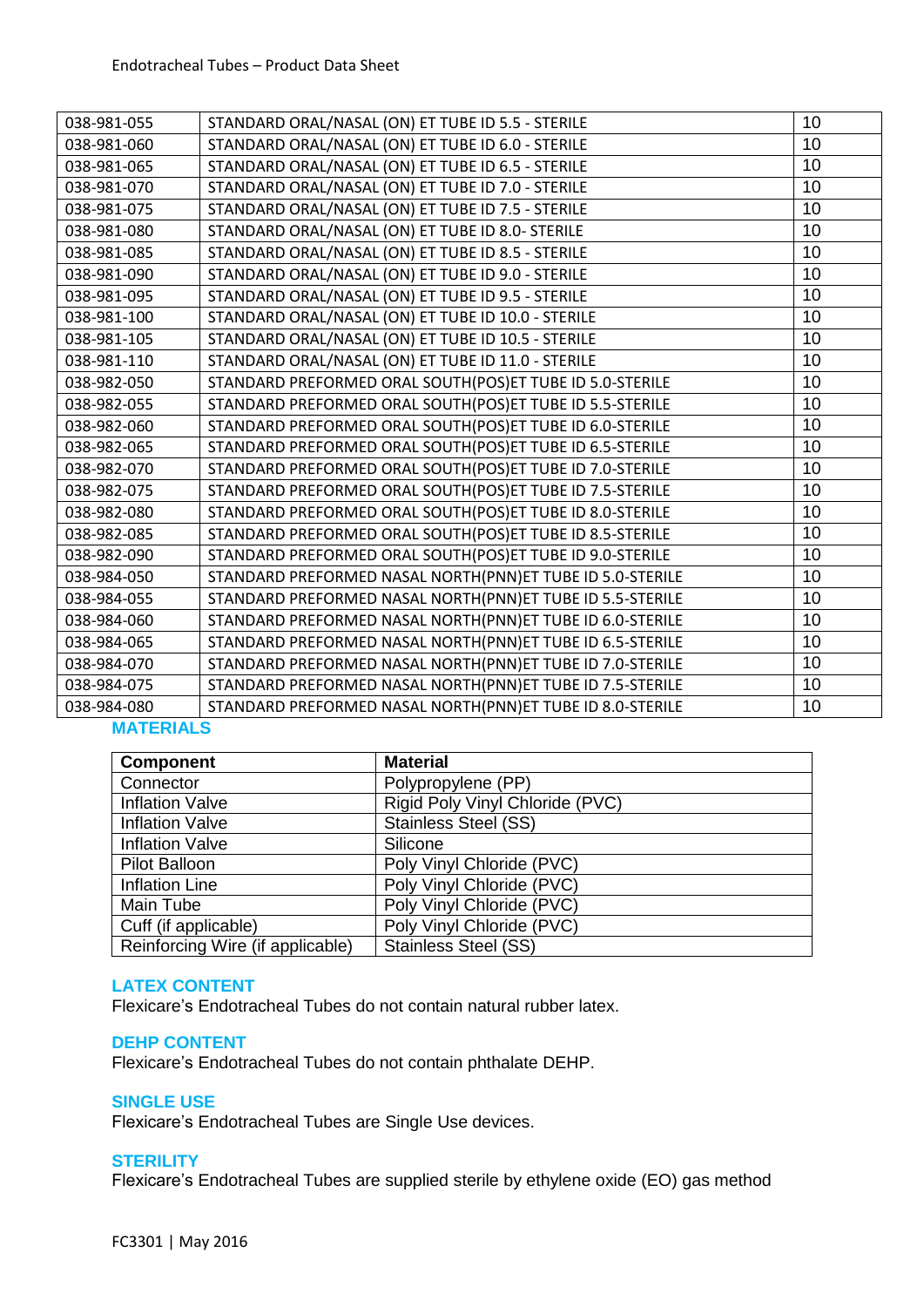| 038-981-055 | STANDARD ORAL/NASAL (ON) ET TUBE ID 5.5 - STERILE         | 10 |
|-------------|-----------------------------------------------------------|----|
| 038-981-060 | STANDARD ORAL/NASAL (ON) ET TUBE ID 6.0 - STERILE         | 10 |
| 038-981-065 | STANDARD ORAL/NASAL (ON) ET TUBE ID 6.5 - STERILE         | 10 |
| 038-981-070 | STANDARD ORAL/NASAL (ON) ET TUBE ID 7.0 - STERILE         | 10 |
| 038-981-075 | STANDARD ORAL/NASAL (ON) ET TUBE ID 7.5 - STERILE         | 10 |
| 038-981-080 | STANDARD ORAL/NASAL (ON) ET TUBE ID 8.0- STERILE          | 10 |
| 038-981-085 | STANDARD ORAL/NASAL (ON) ET TUBE ID 8.5 - STERILE         | 10 |
| 038-981-090 | STANDARD ORAL/NASAL (ON) ET TUBE ID 9.0 - STERILE         | 10 |
| 038-981-095 | STANDARD ORAL/NASAL (ON) ET TUBE ID 9.5 - STERILE         | 10 |
| 038-981-100 | STANDARD ORAL/NASAL (ON) ET TUBE ID 10.0 - STERILE        | 10 |
| 038-981-105 | STANDARD ORAL/NASAL (ON) ET TUBE ID 10.5 - STERILE        | 10 |
| 038-981-110 | STANDARD ORAL/NASAL (ON) ET TUBE ID 11.0 - STERILE        | 10 |
| 038-982-050 | STANDARD PREFORMED ORAL SOUTH(POS)ET TUBE ID 5.0-STERILE  | 10 |
| 038-982-055 | STANDARD PREFORMED ORAL SOUTH(POS)ET TUBE ID 5.5-STERILE  | 10 |
| 038-982-060 | STANDARD PREFORMED ORAL SOUTH(POS)ET TUBE ID 6.0-STERILE  | 10 |
| 038-982-065 | STANDARD PREFORMED ORAL SOUTH(POS)ET TUBE ID 6.5-STERILE  | 10 |
| 038-982-070 | STANDARD PREFORMED ORAL SOUTH(POS)ET TUBE ID 7.0-STERILE  | 10 |
| 038-982-075 | STANDARD PREFORMED ORAL SOUTH(POS)ET TUBE ID 7.5-STERILE  | 10 |
| 038-982-080 | STANDARD PREFORMED ORAL SOUTH(POS)ET TUBE ID 8.0-STERILE  | 10 |
| 038-982-085 | STANDARD PREFORMED ORAL SOUTH(POS)ET TUBE ID 8.5-STERILE  | 10 |
| 038-982-090 | STANDARD PREFORMED ORAL SOUTH(POS)ET TUBE ID 9.0-STERILE  | 10 |
| 038-984-050 | STANDARD PREFORMED NASAL NORTH(PNN)ET TUBE ID 5.0-STERILE | 10 |
| 038-984-055 | STANDARD PREFORMED NASAL NORTH(PNN)ET TUBE ID 5.5-STERILE | 10 |
| 038-984-060 | STANDARD PREFORMED NASAL NORTH(PNN)ET TUBE ID 6.0-STERILE | 10 |
| 038-984-065 | STANDARD PREFORMED NASAL NORTH(PNN)ET TUBE ID 6.5-STERILE | 10 |
| 038-984-070 | STANDARD PREFORMED NASAL NORTH(PNN)ET TUBE ID 7.0-STERILE | 10 |
| 038-984-075 | STANDARD PREFORMED NASAL NORTH(PNN)ET TUBE ID 7.5-STERILE | 10 |
| 038-984-080 | STANDARD PREFORMED NASAL NORTH(PNN)ET TUBE ID 8.0-STERILE | 10 |

# **MATERIALS**

| <b>Component</b>                 | <b>Material</b>                 |
|----------------------------------|---------------------------------|
| Connector                        | Polypropylene (PP)              |
| <b>Inflation Valve</b>           | Rigid Poly Vinyl Chloride (PVC) |
| <b>Inflation Valve</b>           | <b>Stainless Steel (SS)</b>     |
| <b>Inflation Valve</b>           | Silicone                        |
| Pilot Balloon                    | Poly Vinyl Chloride (PVC)       |
| <b>Inflation Line</b>            | Poly Vinyl Chloride (PVC)       |
| Main Tube                        | Poly Vinyl Chloride (PVC)       |
| Cuff (if applicable)             | Poly Vinyl Chloride (PVC)       |
| Reinforcing Wire (if applicable) | <b>Stainless Steel (SS)</b>     |

# **LATEX CONTENT**

Flexicare's Endotracheal Tubes do not contain natural rubber latex.

#### **DEHP CONTENT**

Flexicare's Endotracheal Tubes do not contain phthalate DEHP.

#### **SINGLE USE**

Flexicare's Endotracheal Tubes are Single Use devices.

# **STERILITY**

Flexicare's Endotracheal Tubes are supplied sterile by ethylene oxide (EO) gas method